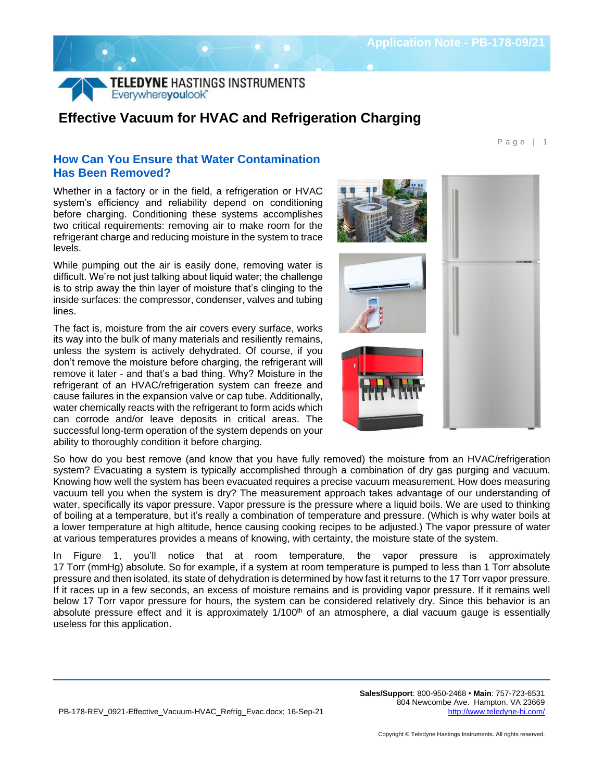P a g e | 1



## **Effective Vacuum for HVAC and Refrigeration Charging**

## **How Can You Ensure that Water Contamination Has Been Removed?**

Whether in a factory or in the field, a refrigeration or HVAC system's efficiency and reliability depend on conditioning before charging. Conditioning these systems accomplishes two critical requirements: removing air to make room for the refrigerant charge and reducing moisture in the system to trace levels.

While pumping out the air is easily done, removing water is difficult. We're not just talking about liquid water; the challenge is to strip away the thin layer of moisture that's clinging to the inside surfaces: the compressor, condenser, valves and tubing lines.

The fact is, moisture from the air covers every surface, works its way into the bulk of many materials and resiliently remains, unless the system is actively dehydrated. Of course, if you don't remove the moisture before charging, the refrigerant will remove it later - and that's a bad thing. Why? Moisture in the refrigerant of an HVAC/refrigeration system can freeze and cause failures in the expansion valve or cap tube. Additionally, water chemically reacts with the refrigerant to form acids which can corrode and/or leave deposits in critical areas. The successful long-term operation of the system depends on your ability to thoroughly condition it before charging.



So how do you best remove (and know that you have fully removed) the moisture from an HVAC/refrigeration system? Evacuating a system is typically accomplished through a combination of dry gas purging and vacuum. Knowing how well the system has been evacuated requires a precise vacuum measurement. How does measuring vacuum tell you when the system is dry? The measurement approach takes advantage of our understanding of water, specifically its vapor pressure. Vapor pressure is the pressure where a liquid boils. We are used to thinking of boiling at a temperature, but it's really a combination of temperature and pressure. (Which is why water boils at a lower temperature at high altitude, hence causing cooking recipes to be adjusted.) The vapor pressure of water at various temperatures provides a means of knowing, with certainty, the moisture state of the system.

In [Figure 1,](#page-1-0) you'll notice that at room temperature, the vapor pressure is approximately 17 Torr (mmHg) absolute. So for example, if a system at room temperature is pumped to less than 1 Torr absolute pressure and then isolated, its state of dehydration is determined by how fast it returns to the 17 Torr vapor pressure. If it races up in a few seconds, an excess of moisture remains and is providing vapor pressure. If it remains well below 17 Torr vapor pressure for hours, the system can be considered relatively dry. Since this behavior is an absolute pressure effect and it is approximately  $1/100<sup>th</sup>$  of an atmosphere, a dial vacuum gauge is essentially useless for this application.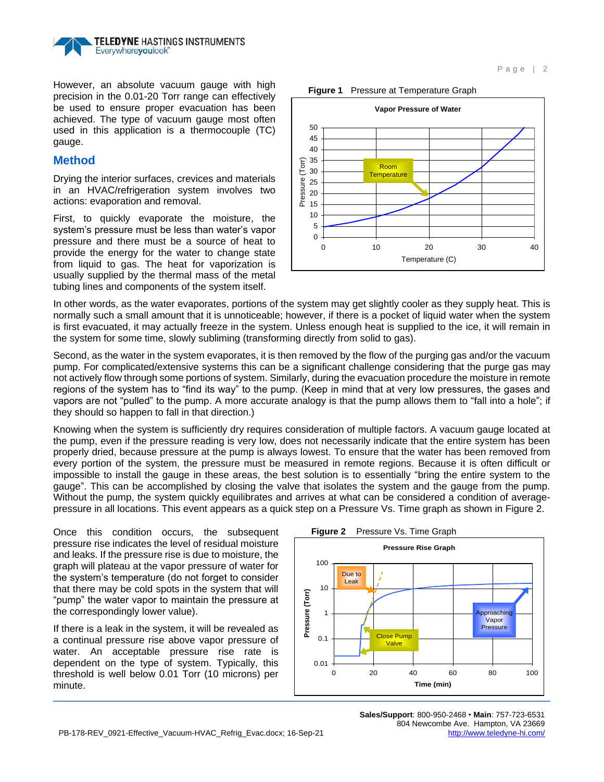

However, an absolute vacuum gauge with high precision in the 0.01-20 Torr range can effectively be used to ensure proper evacuation has been achieved. The type of vacuum gauge most often used in this application is a thermocouple (TC) gauge.

## **Method**

Drying the interior surfaces, crevices and materials in an HVAC/refrigeration system involves two actions: evaporation and removal.

First, to quickly evaporate the moisture, the system's pressure must be less than water's vapor pressure and there must be a source of heat to provide the energy for the water to change state from liquid to gas. The heat for vaporization is usually supplied by the thermal mass of the metal tubing lines and components of the system itself.

<span id="page-1-0"></span>

In other words, as the water evaporates, portions of the system may get slightly cooler as they supply heat. This is normally such a small amount that it is unnoticeable; however, if there is a pocket of liquid water when the system is first evacuated, it may actually freeze in the system. Unless enough heat is supplied to the ice, it will remain in the system for some time, slowly subliming (transforming directly from solid to gas).

Second, as the water in the system evaporates, it is then removed by the flow of the purging gas and/or the vacuum pump. For complicated/extensive systems this can be a significant challenge considering that the purge gas may not actively flow through some portions of system. Similarly, during the evacuation procedure the moisture in remote regions of the system has to "find its way" to the pump. (Keep in mind that at very low pressures, the gases and vapors are not "pulled" to the pump. A more accurate analogy is that the pump allows them to "fall into a hole"; if they should so happen to fall in that direction.)

Knowing when the system is sufficiently dry requires consideration of multiple factors. A vacuum gauge located at the pump, even if the pressure reading is very low, does not necessarily indicate that the entire system has been properly dried, because pressure at the pump is always lowest. To ensure that the water has been removed from every portion of the system, the pressure must be measured in remote regions. Because it is often difficult or impossible to install the gauge in these areas, the best solution is to essentially "bring the entire system to the gauge". This can be accomplished by closing the valve that isolates the system and the gauge from the pump. Without the pump, the system quickly equilibrates and arrives at what can be considered a condition of averagepressure in all locations. This event appears as a quick step on a Pressure Vs. Time graph as shown in [Figure 2.](#page-1-1)

Once this condition occurs, the subsequent pressure rise indicates the level of residual moisture and leaks. If the pressure rise is due to moisture, the graph will plateau at the vapor pressure of water for the system's temperature (do not forget to consider that there may be cold spots in the system that will "pump" the water vapor to maintain the pressure at the correspondingly lower value).

If there is a leak in the system, it will be revealed as a continual pressure rise above vapor pressure of water. An acceptable pressure rise rate is dependent on the type of system. Typically, this threshold is well below 0.01 Torr (10 microns) per minute.

<span id="page-1-1"></span>